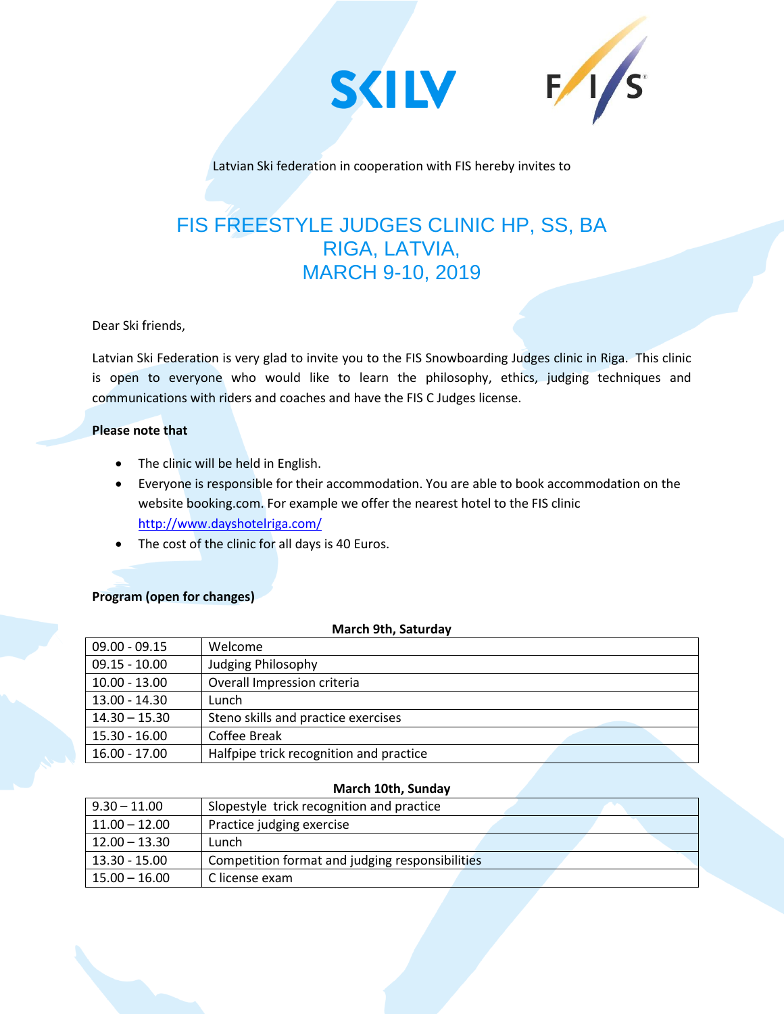



Latvian Ski federation in cooperation with FIS hereby invites to

# FIS FREESTYLE JUDGES CLINIC HP, SS, BA RIGA, LATVIA, MARCH 9-10, 2019

Dear Ski friends,

Latvian Ski Federation is very glad to invite you to the FIS Snowboarding Judges clinic in Riga. This clinic is open to everyone who would like to learn the philosophy, ethics, judging techniques and communications with riders and coaches and have the FIS C Judges license.

# **Please note that**

- The clinic will be held in English.
- Everyone is responsible for their accommodation. You are able to book accommodation on the website booking.com. For example we offer the nearest hotel to the FIS clinic <http://www.dayshotelriga.com/>
- The cost of the clinic for all days is 40 Euros.

# **Program (open for changes)**

| <b>March 9th, Saturday</b> |                                         |  |  |
|----------------------------|-----------------------------------------|--|--|
| $09.00 - 09.15$            | Welcome                                 |  |  |
| $09.15 - 10.00$            | Judging Philosophy                      |  |  |
| $10.00 - 13.00$            | Overall Impression criteria             |  |  |
| 13.00 - 14.30              | Lunch                                   |  |  |
| $14.30 - 15.30$            | Steno skills and practice exercises     |  |  |
| 15.30 - 16.00              | Coffee Break                            |  |  |
| 16.00 - 17.00              | Halfpipe trick recognition and practice |  |  |

#### **March 10th, Sunday**

| $9.30 - 11.00$  | Slopestyle trick recognition and practice       |  |
|-----------------|-------------------------------------------------|--|
| $11.00 - 12.00$ | Practice judging exercise                       |  |
| $12.00 - 13.30$ | Lunch                                           |  |
| 13.30 - 15.00   | Competition format and judging responsibilities |  |
| 15.00 – 16.00   | C license exam                                  |  |